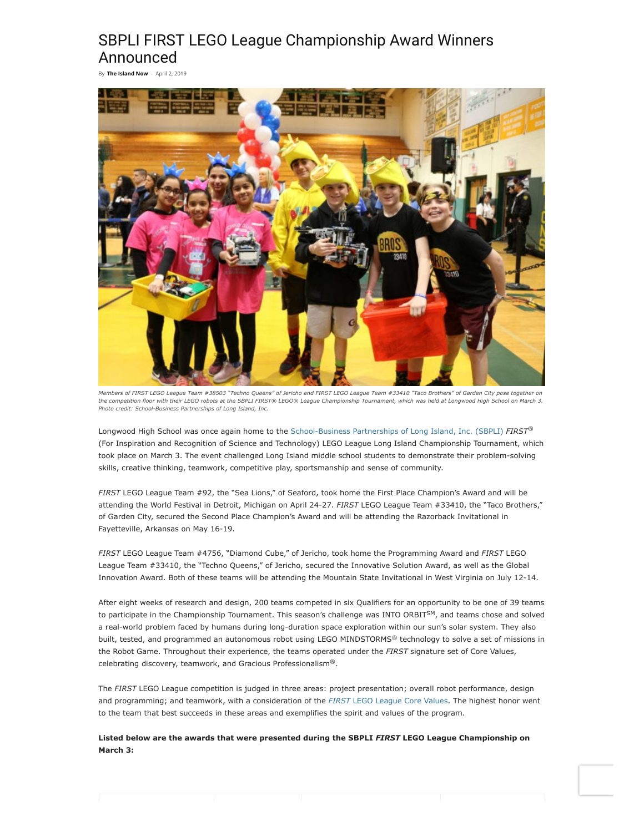## SBPLI FIRST LEGO League Championship Award Winners Announced

By **[The Island](https://theislandnow.com/author/notmin/) Now** - April 2, 2019



*Members of FIRST LEGO League Team #38503 "Techno Queens" of Jericho and FIRST LEGO League Team #33410 "Taco Brothers" of Garden City pose together on the competition floor with their LEGO robots at the SBPLI FIRST® LEGO® League Championship Tournament, which was held at Longwood High School on March 3. Photo credit: School-Business Partnerships of Long Island, Inc.*

Longwood High School was once again home to the [School-Business Partnerships of Long Island, Inc. \(SBPLI\)](http://www.firstlongisland.org/) *FIRST ®* (For Inspiration and Recognition of Science and Technology) LEGO League Long Island Championship Tournament, which took place on March 3. The event challenged Long Island middle school students to demonstrate their problem-solving skills, creative thinking, teamwork, competitive play, sportsmanship and sense of community.

*FIRST* LEGO League Team #92, the "Sea Lions," of Seaford, took home the First Place Champion's Award and will be attending the World Festival in Detroit, Michigan on April 24-27. *FIRST* LEGO League Team #33410, the "Taco Brothers," of Garden City, secured the Second Place Champion's Award and will be attending the Razorback Invitational in Fayetteville, Arkansas on May 16-19.

*FIRST* LEGO League Team #4756, "Diamond Cube," of Jericho, took home the Programming Award and *FIRST* LEGO League Team #33410, the "Techno Queens," of Jericho, secured the Innovative Solution Award, as well as the Global Innovation Award. Both of these teams will be attending the Mountain State Invitational in West Virginia on July 12-14.

After eight weeks of research and design, 200 teams competed in six Qualifiers for an opportunity to be one of 39 teams to participate in the Championship Tournament. This season's challenge was INTO ORBIT<sup>SM</sup>, and teams chose and solved a real-world problem faced by humans during long-duration space exploration within our sun's solar system. They also built, tested, and programmed an autonomous robot using LEGO MINDSTORMS® technology to solve a set of missions in the Robot Game. Throughout their experience, the teams operated under the *FIRST* signature set of Core Values, celebrating discovery, teamwork, and Gracious Professionalism®.

The *FIRST* LEGO League competition is judged in three areas: project presentation; overall robot performance, design and programming; and teamwork, with a consideration of the *FIRST* [LEGO League Core Values](http://www.firstlegoleague.org/mission/corevalues). The highest honor went to the team that best succeeds in these areas and exemplifies the spirit and values of the program.

**Listed below are the awards that were presented during the SBPLI** *FIRST* **LEGO League Championship on March 3:**